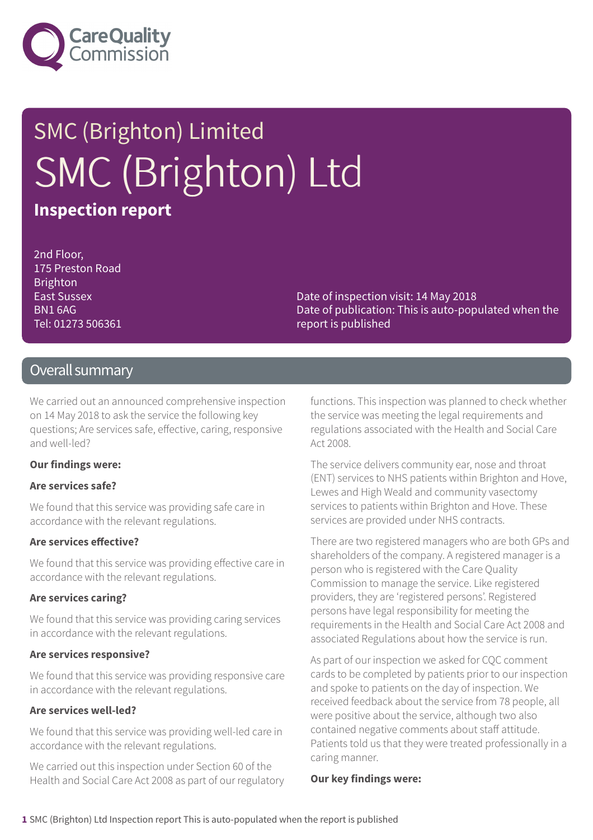

## SMC (Brighton) Limited SMC (Brighton) Ltd **Inspection report**

2nd Floor, 175 Preston Road **Brighton** East Sussex BN1 6AG Tel: 01273 506361

Date of inspection visit: 14 May 2018 Date of publication: This is auto-populated when the report is published

#### Overall summary

We carried out an announced comprehensive inspection on 14 May 2018 to ask the service the following key questions; Are services safe, effective, caring, responsive and well-led?

#### **Our findings were:**

#### **Are services safe?**

We found that this service was providing safe care in accordance with the relevant regulations.

#### **Are services effective?**

We found that this service was providing effective care in accordance with the relevant regulations.

#### **Are services caring?**

We found that this service was providing caring services in accordance with the relevant regulations.

#### **Are services responsive?**

We found that this service was providing responsive care in accordance with the relevant regulations.

#### **Are services well-led?**

We found that this service was providing well-led care in accordance with the relevant regulations.

We carried out this inspection under Section 60 of the Health and Social Care Act 2008 as part of our regulatory functions. This inspection was planned to check whether the service was meeting the legal requirements and regulations associated with the Health and Social Care Act 2008.

The service delivers community ear, nose and throat (ENT) services to NHS patients within Brighton and Hove, Lewes and High Weald and community vasectomy services to patients within Brighton and Hove. These services are provided under NHS contracts.

There are two registered managers who are both GPs and shareholders of the company. A registered manager is a person who is registered with the Care Quality Commission to manage the service. Like registered providers, they are 'registered persons'. Registered persons have legal responsibility for meeting the requirements in the Health and Social Care Act 2008 and associated Regulations about how the service is run.

As part of our inspection we asked for CQC comment cards to be completed by patients prior to our inspection and spoke to patients on the day of inspection. We received feedback about the service from 78 people, all were positive about the service, although two also contained negative comments about staff attitude. Patients told us that they were treated professionally in a caring manner.

#### **Our key findings were:**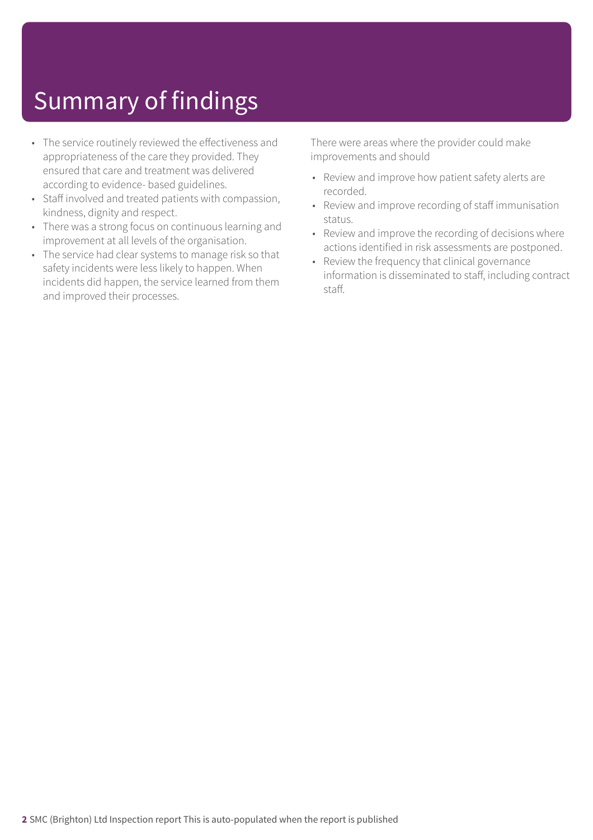### Summary of findings

- The service routinely reviewed the effectiveness and appropriateness of the care they provided. They ensured that care and treatment was delivered according to evidence- based guidelines.
- Staff involved and treated patients with compassion, kindness, dignity and respect.
- There was a strong focus on continuous learning and improvement at all levels of the organisation.
- The service had clear systems to manage risk so that safety incidents were less likely to happen. When incidents did happen, the service learned from them and improved their processes.

There were areas where the provider could make improvements and should

- Review and improve how patient safety alerts are recorded.
- Review and improve recording of staff immunisation status.
- Review and improve the recording of decisions where actions identified in risk assessments are postponed.
- Review the frequency that clinical governance information is disseminated to staff, including contract staff.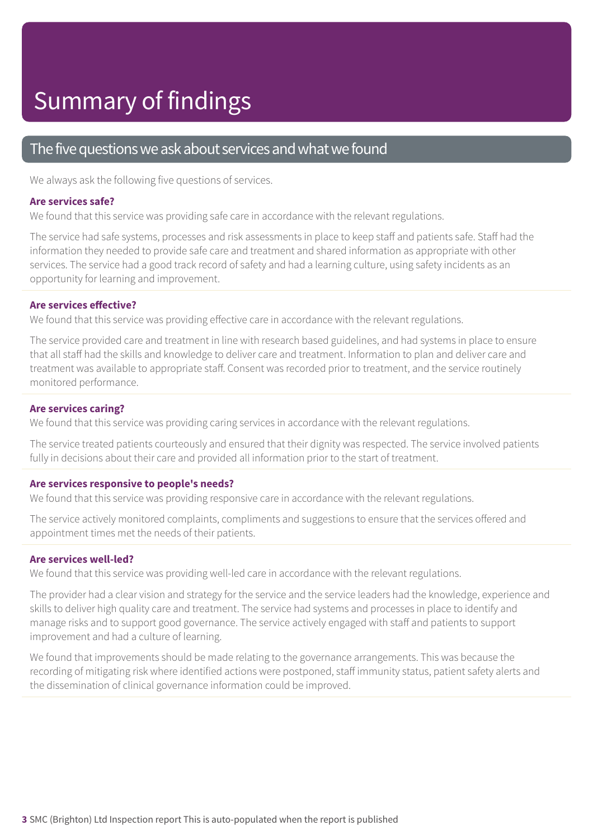#### The five questions we ask about services and what we found

We always ask the following five questions of services.

#### **Are services safe?**

We found that this service was providing safe care in accordance with the relevant regulations.

The service had safe systems, processes and risk assessments in place to keep staff and patients safe. Staff had the information they needed to provide safe care and treatment and shared information as appropriate with other services. The service had a good track record of safety and had a learning culture, using safety incidents as an opportunity for learning and improvement.

#### **Are services effective?**

We found that this service was providing effective care in accordance with the relevant regulations.

The service provided care and treatment in line with research based guidelines, and had systems in place to ensure that all staff had the skills and knowledge to deliver care and treatment. Information to plan and deliver care and treatment was available to appropriate staff. Consent was recorded prior to treatment, and the service routinely monitored performance.

#### **Are services caring?**

We found that this service was providing caring services in accordance with the relevant regulations.

The service treated patients courteously and ensured that their dignity was respected. The service involved patients fully in decisions about their care and provided all information prior to the start of treatment.

#### **Are services responsive to people's needs?**

We found that this service was providing responsive care in accordance with the relevant regulations.

The service actively monitored complaints, compliments and suggestions to ensure that the services offered and appointment times met the needs of their patients.

#### **Are services well-led?**

We found that this service was providing well-led care in accordance with the relevant regulations.

The provider had a clear vision and strategy for the service and the service leaders had the knowledge, experience and skills to deliver high quality care and treatment. The service had systems and processes in place to identify and manage risks and to support good governance. The service actively engaged with staff and patients to support improvement and had a culture of learning.

We found that improvements should be made relating to the governance arrangements. This was because the recording of mitigating risk where identified actions were postponed, staff immunity status, patient safety alerts and the dissemination of clinical governance information could be improved.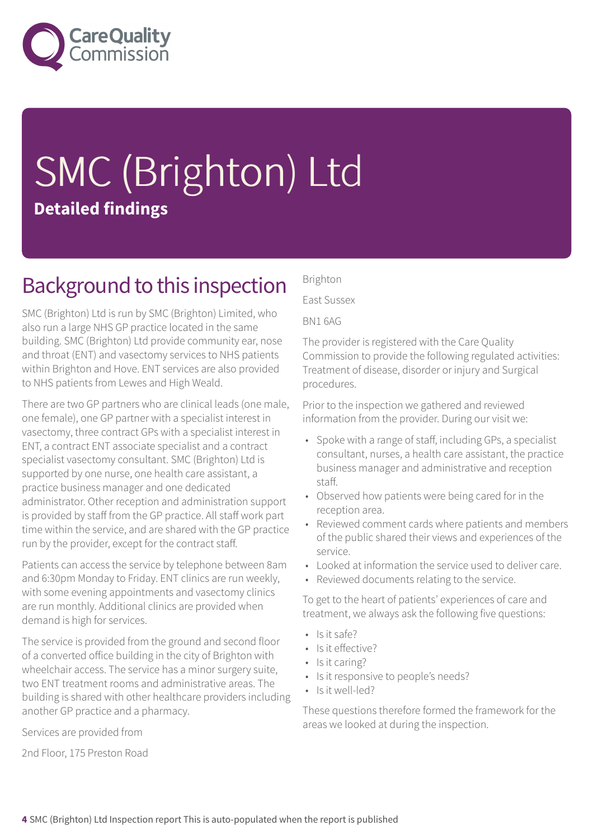

# SMC (Brighton) Ltd **Detailed findings**

### Background to this inspection

SMC (Brighton) Ltd is run by SMC (Brighton) Limited, who also run a large NHS GP practice located in the same building. SMC (Brighton) Ltd provide community ear, nose and throat (ENT) and vasectomy services to NHS patients within Brighton and Hove. ENT services are also provided to NHS patients from Lewes and High Weald.

There are two GP partners who are clinical leads (one male, one female), one GP partner with a specialist interest in vasectomy, three contract GPs with a specialist interest in ENT, a contract ENT associate specialist and a contract specialist vasectomy consultant. SMC (Brighton) Ltd is supported by one nurse, one health care assistant, a practice business manager and one dedicated administrator. Other reception and administration support is provided by staff from the GP practice. All staff work part time within the service, and are shared with the GP practice run by the provider, except for the contract staff.

Patients can access the service by telephone between 8am and 6:30pm Monday to Friday. ENT clinics are run weekly, with some evening appointments and vasectomy clinics are run monthly. Additional clinics are provided when demand is high for services.

The service is provided from the ground and second floor of a converted office building in the city of Brighton with wheelchair access. The service has a minor surgery suite, two ENT treatment rooms and administrative areas. The building is shared with other healthcare providers including another GP practice and a pharmacy.

Services are provided from

2nd Floor, 175 Preston Road

Brighton

East Sussex

BN1 6AG

The provider is registered with the Care Quality Commission to provide the following regulated activities: Treatment of disease, disorder or injury and Surgical procedures.

Prior to the inspection we gathered and reviewed information from the provider. During our visit we:

- Spoke with a range of staff, including GPs, a specialist consultant, nurses, a health care assistant, the practice business manager and administrative and reception staff.
- Observed how patients were being cared for in the reception area.
- Reviewed comment cards where patients and members of the public shared their views and experiences of the service.
- Looked at information the service used to deliver care.
- Reviewed documents relating to the service.

To get to the heart of patients' experiences of care and treatment, we always ask the following five questions:

- Is it safe?
- Is it effective?
- Is it caring?
- Is it responsive to people's needs?
- Is it well-led?

These questions therefore formed the framework for the areas we looked at during the inspection.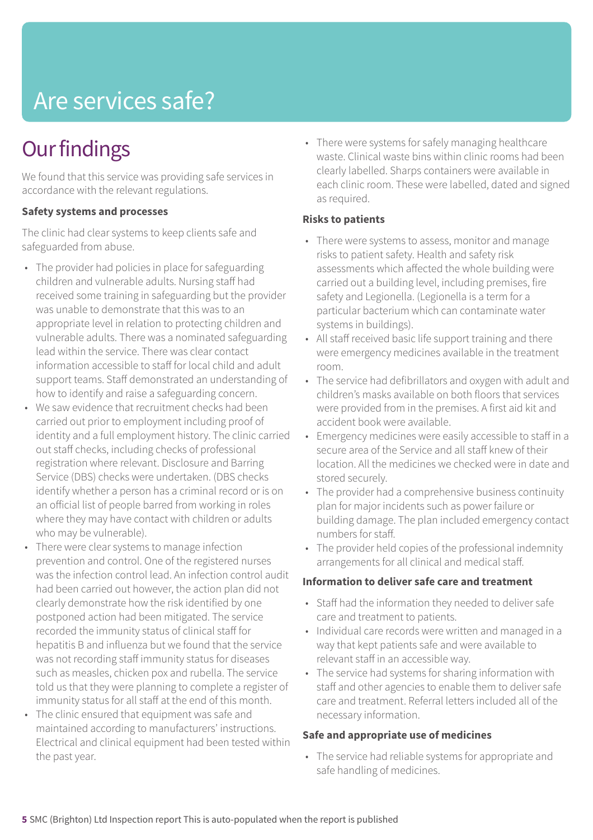### Are services safe?

### **Our findings**

We found that this service was providing safe services in accordance with the relevant regulations.

#### **Safety systems and processes**

The clinic had clear systems to keep clients safe and safeguarded from abuse.

- The provider had policies in place for safeguarding children and vulnerable adults. Nursing staff had received some training in safeguarding but the provider was unable to demonstrate that this was to an appropriate level in relation to protecting children and vulnerable adults. There was a nominated safeguarding lead within the service. There was clear contact information accessible to staff for local child and adult support teams. Staff demonstrated an understanding of how to identify and raise a safeguarding concern.
- We saw evidence that recruitment checks had been carried out prior to employment including proof of identity and a full employment history. The clinic carried out staff checks, including checks of professional registration where relevant. Disclosure and Barring Service (DBS) checks were undertaken. (DBS checks identify whether a person has a criminal record or is on an official list of people barred from working in roles where they may have contact with children or adults who may be vulnerable).
- There were clear systems to manage infection prevention and control. One of the registered nurses was the infection control lead. An infection control audit had been carried out however, the action plan did not clearly demonstrate how the risk identified by one postponed action had been mitigated. The service recorded the immunity status of clinical staff for hepatitis B and influenza but we found that the service was not recording staff immunity status for diseases such as measles, chicken pox and rubella. The service told us that they were planning to complete a register of immunity status for all staff at the end of this month.
- The clinic ensured that equipment was safe and maintained according to manufacturers' instructions. Electrical and clinical equipment had been tested within the past year.

• There were systems for safely managing healthcare waste. Clinical waste bins within clinic rooms had been clearly labelled. Sharps containers were available in each clinic room. These were labelled, dated and signed as required.

#### **Risks to patients**

- There were systems to assess, monitor and manage risks to patient safety. Health and safety risk assessments which affected the whole building were carried out a building level, including premises, fire safety and Legionella. (Legionella is a term for a particular bacterium which can contaminate water systems in buildings).
- All staff received basic life support training and there were emergency medicines available in the treatment room.
- The service had defibrillators and oxygen with adult and children's masks available on both floors that services were provided from in the premises. A first aid kit and accident book were available.
- Emergency medicines were easily accessible to staff in a secure area of the Service and all staff knew of their location. All the medicines we checked were in date and stored securely.
- The provider had a comprehensive business continuity plan for major incidents such as power failure or building damage. The plan included emergency contact numbers for staff.
- The provider held copies of the professional indemnity arrangements for all clinical and medical staff.

#### **Information to deliver safe care and treatment**

- Staff had the information they needed to deliver safe care and treatment to patients.
- Individual care records were written and managed in a way that kept patients safe and were available to relevant staff in an accessible way.
- The service had systems for sharing information with staff and other agencies to enable them to deliver safe care and treatment. Referral letters included all of the necessary information.

#### **Safe and appropriate use of medicines**

• The service had reliable systems for appropriate and safe handling of medicines.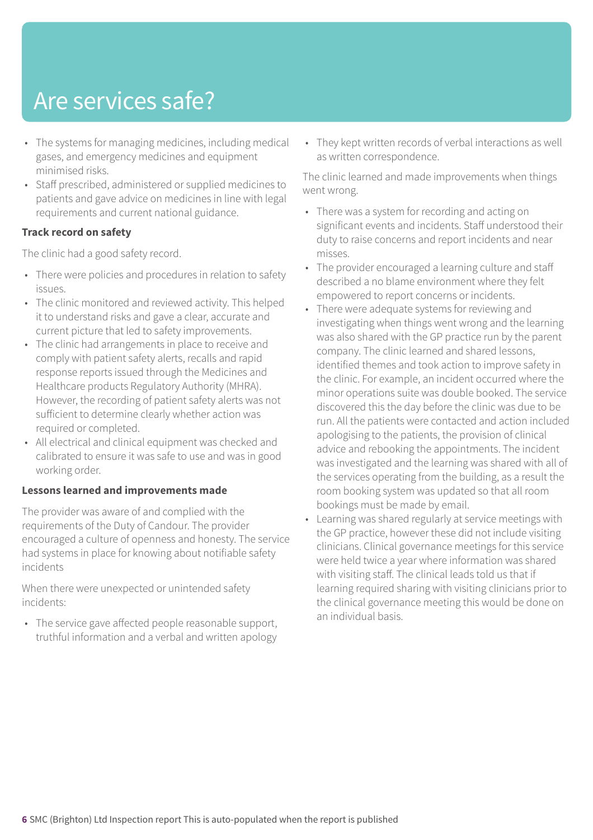### Are services safe?

- The systems for managing medicines, including medical gases, and emergency medicines and equipment minimised risks.
- Staff prescribed, administered or supplied medicines to patients and gave advice on medicines in line with legal requirements and current national guidance.

#### **Track record on safety**

The clinic had a good safety record.

- There were policies and procedures in relation to safety issues.
- The clinic monitored and reviewed activity. This helped it to understand risks and gave a clear, accurate and current picture that led to safety improvements.
- The clinic had arrangements in place to receive and comply with patient safety alerts, recalls and rapid response reports issued through the Medicines and Healthcare products Regulatory Authority (MHRA). However, the recording of patient safety alerts was not sufficient to determine clearly whether action was required or completed.
- All electrical and clinical equipment was checked and calibrated to ensure it was safe to use and was in good working order.

#### **Lessons learned and improvements made**

The provider was aware of and complied with the requirements of the Duty of Candour. The provider encouraged a culture of openness and honesty. The service had systems in place for knowing about notifiable safety incidents

When there were unexpected or unintended safety incidents:

• The service gave affected people reasonable support, truthful information and a verbal and written apology • They kept written records of verbal interactions as well as written correspondence.

The clinic learned and made improvements when things went wrong.

- There was a system for recording and acting on significant events and incidents. Staff understood their duty to raise concerns and report incidents and near misses.
- The provider encouraged a learning culture and staff described a no blame environment where they felt empowered to report concerns or incidents.
- There were adequate systems for reviewing and investigating when things went wrong and the learning was also shared with the GP practice run by the parent company. The clinic learned and shared lessons, identified themes and took action to improve safety in the clinic. For example, an incident occurred where the minor operations suite was double booked. The service discovered this the day before the clinic was due to be run. All the patients were contacted and action included apologising to the patients, the provision of clinical advice and rebooking the appointments. The incident was investigated and the learning was shared with all of the services operating from the building, as a result the room booking system was updated so that all room bookings must be made by email.
- Learning was shared regularly at service meetings with the GP practice, however these did not include visiting clinicians. Clinical governance meetings for this service were held twice a year where information was shared with visiting staff. The clinical leads told us that if learning required sharing with visiting clinicians prior to the clinical governance meeting this would be done on an individual basis.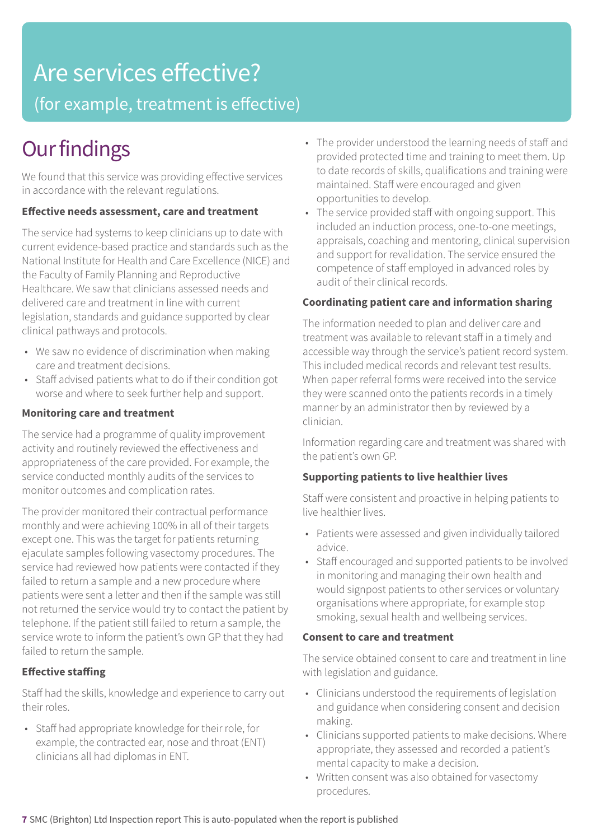### Are services effective?

(for example, treatment is effective)

### **Our findings**

We found that this service was providing effective services in accordance with the relevant regulations.

#### **Effective needs assessment, care and treatment**

The service had systems to keep clinicians up to date with current evidence-based practice and standards such as the National Institute for Health and Care Excellence (NICE) and the Faculty of Family Planning and Reproductive Healthcare. We saw that clinicians assessed needs and delivered care and treatment in line with current legislation, standards and guidance supported by clear clinical pathways and protocols.

- We saw no evidence of discrimination when making care and treatment decisions.
- Staff advised patients what to do if their condition got worse and where to seek further help and support.

#### **Monitoring care and treatment**

The service had a programme of quality improvement activity and routinely reviewed the effectiveness and appropriateness of the care provided. For example, the service conducted monthly audits of the services to monitor outcomes and complication rates.

The provider monitored their contractual performance monthly and were achieving 100% in all of their targets except one. This was the target for patients returning ejaculate samples following vasectomy procedures. The service had reviewed how patients were contacted if they failed to return a sample and a new procedure where patients were sent a letter and then if the sample was still not returned the service would try to contact the patient by telephone. If the patient still failed to return a sample, the service wrote to inform the patient's own GP that they had failed to return the sample.

#### **Effective staffing**

Staff had the skills, knowledge and experience to carry out their roles.

• Staff had appropriate knowledge for their role, for example, the contracted ear, nose and throat (ENT) clinicians all had diplomas in ENT.

- The provider understood the learning needs of staff and provided protected time and training to meet them. Up to date records of skills, qualifications and training were maintained. Staff were encouraged and given opportunities to develop.
- The service provided staff with ongoing support. This included an induction process, one-to-one meetings, appraisals, coaching and mentoring, clinical supervision and support for revalidation. The service ensured the competence of staff employed in advanced roles by audit of their clinical records.

#### **Coordinating patient care and information sharing**

The information needed to plan and deliver care and treatment was available to relevant staff in a timely and accessible way through the service's patient record system. This included medical records and relevant test results. When paper referral forms were received into the service they were scanned onto the patients records in a timely manner by an administrator then by reviewed by a clinician.

Information regarding care and treatment was shared with the patient's own GP.

#### **Supporting patients to live healthier lives**

Staff were consistent and proactive in helping patients to live healthier lives.

- Patients were assessed and given individually tailored advice.
- Staff encouraged and supported patients to be involved in monitoring and managing their own health and would signpost patients to other services or voluntary organisations where appropriate, for example stop smoking, sexual health and wellbeing services.

#### **Consent to care and treatment**

The service obtained consent to care and treatment in line with legislation and guidance.

- Clinicians understood the requirements of legislation and guidance when considering consent and decision making.
- Clinicians supported patients to make decisions. Where appropriate, they assessed and recorded a patient's mental capacity to make a decision.
- Written consent was also obtained for vasectomy procedures.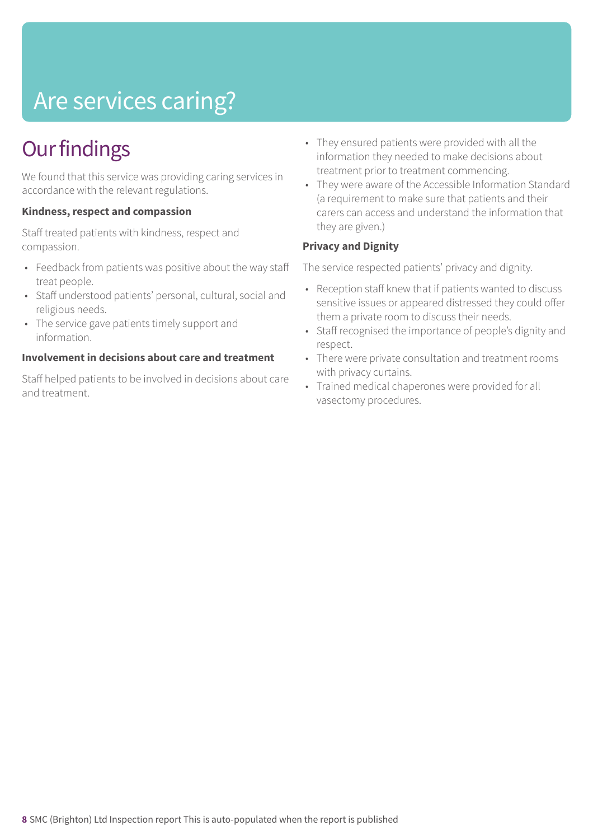## Are services caring?

### **Our findings**

We found that this service was providing caring services in accordance with the relevant regulations.

#### **Kindness, respect and compassion**

Staff treated patients with kindness, respect and compassion.

- Feedback from patients was positive about the way staff treat people.
- Staff understood patients' personal, cultural, social and religious needs.
- The service gave patients timely support and information.

#### **Involvement in decisions about care and treatment**

Staff helped patients to be involved in decisions about care and treatment.

- They ensured patients were provided with all the information they needed to make decisions about treatment prior to treatment commencing.
- They were aware of the Accessible Information Standard (a requirement to make sure that patients and their carers can access and understand the information that they are given.)

#### **Privacy and Dignity**

The service respected patients' privacy and dignity.

- Reception staff knew that if patients wanted to discuss sensitive issues or appeared distressed they could offer them a private room to discuss their needs.
- Staff recognised the importance of people's dignity and respect.
- There were private consultation and treatment rooms with privacy curtains.
- Trained medical chaperones were provided for all vasectomy procedures.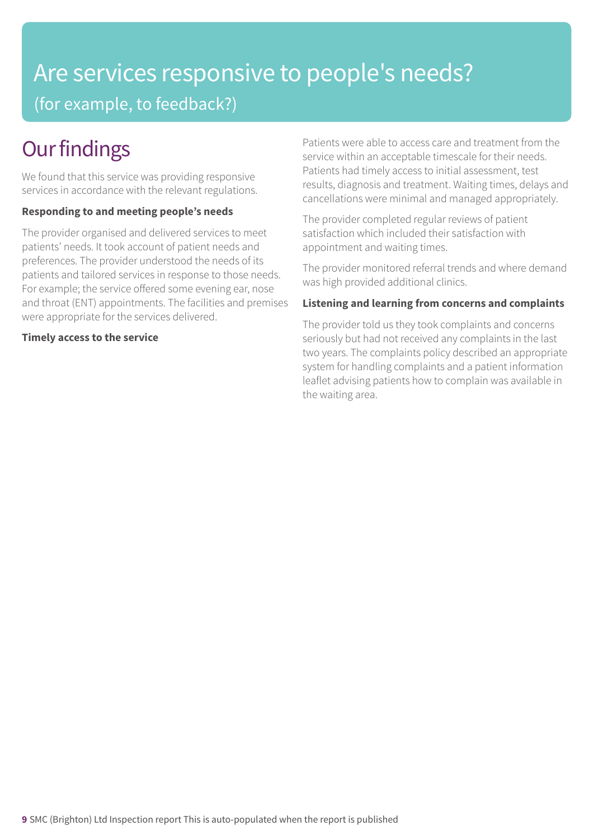### Are services responsive to people's needs? (for example, to feedback?)

### **Our findings**

We found that this service was providing responsive services in accordance with the relevant regulations.

#### **Responding to and meeting people's needs**

The provider organised and delivered services to meet patients' needs. It took account of patient needs and preferences. The provider understood the needs of its patients and tailored services in response to those needs. For example; the service offered some evening ear, nose and throat (ENT) appointments. The facilities and premises were appropriate for the services delivered.

#### **Timely access to the service**

Patients were able to access care and treatment from the service within an acceptable timescale for their needs. Patients had timely access to initial assessment, test results, diagnosis and treatment. Waiting times, delays and cancellations were minimal and managed appropriately.

The provider completed regular reviews of patient satisfaction which included their satisfaction with appointment and waiting times.

The provider monitored referral trends and where demand was high provided additional clinics.

#### **Listening and learning from concerns and complaints**

The provider told us they took complaints and concerns seriously but had not received any complaints in the last two years. The complaints policy described an appropriate system for handling complaints and a patient information leaflet advising patients how to complain was available in the waiting area.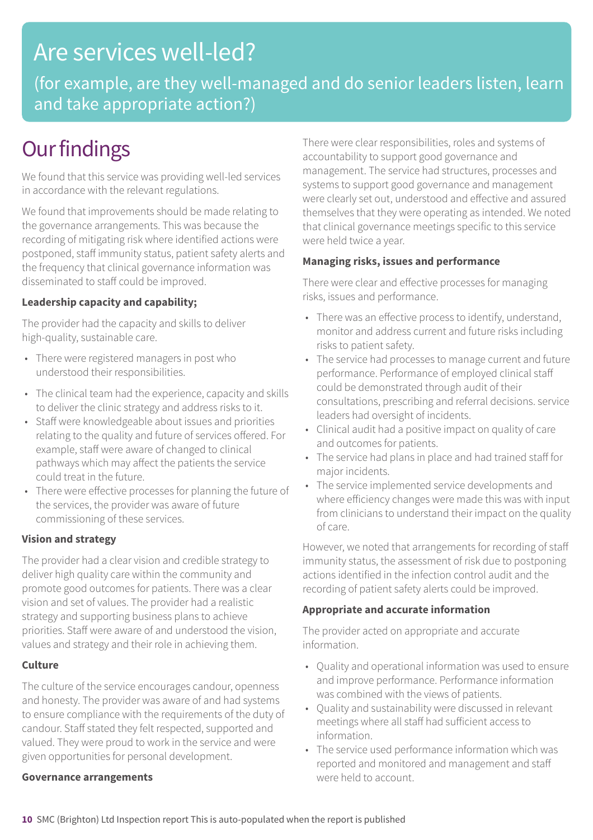### Are services well-led?

(for example, are they well-managed and do senior leaders listen, learn and take appropriate action?)

### **Our findings**

We found that this service was providing well-led services in accordance with the relevant regulations.

We found that improvements should be made relating to the governance arrangements. This was because the recording of mitigating risk where identified actions were postponed, staff immunity status, patient safety alerts and the frequency that clinical governance information was disseminated to staff could be improved.

#### **Leadership capacity and capability;**

The provider had the capacity and skills to deliver high-quality, sustainable care.

- There were registered managers in post who understood their responsibilities.
- The clinical team had the experience, capacity and skills to deliver the clinic strategy and address risks to it.
- Staff were knowledgeable about issues and priorities relating to the quality and future of services offered. For example, staff were aware of changed to clinical pathways which may affect the patients the service could treat in the future.
- There were effective processes for planning the future of the services, the provider was aware of future commissioning of these services.

#### **Vision and strategy**

The provider had a clear vision and credible strategy to deliver high quality care within the community and promote good outcomes for patients. There was a clear vision and set of values. The provider had a realistic strategy and supporting business plans to achieve priorities. Staff were aware of and understood the vision, values and strategy and their role in achieving them.

#### **Culture**

The culture of the service encourages candour, openness and honesty. The provider was aware of and had systems to ensure compliance with the requirements of the duty of candour. Staff stated they felt respected, supported and valued. They were proud to work in the service and were given opportunities for personal development.

#### **Governance arrangements**

There were clear responsibilities, roles and systems of accountability to support good governance and management. The service had structures, processes and systems to support good governance and management were clearly set out, understood and effective and assured themselves that they were operating as intended. We noted that clinical governance meetings specific to this service were held twice a year.

#### **Managing risks, issues and performance**

There were clear and effective processes for managing risks, issues and performance.

- There was an effective process to identify, understand, monitor and address current and future risks including risks to patient safety.
- The service had processes to manage current and future performance. Performance of employed clinical staff could be demonstrated through audit of their consultations, prescribing and referral decisions. service leaders had oversight of incidents.
- Clinical audit had a positive impact on quality of care and outcomes for patients.
- The service had plans in place and had trained staff for major incidents.
- The service implemented service developments and where efficiency changes were made this was with input from clinicians to understand their impact on the quality of care.

However, we noted that arrangements for recording of staff immunity status, the assessment of risk due to postponing actions identified in the infection control audit and the recording of patient safety alerts could be improved.

#### **Appropriate and accurate information**

The provider acted on appropriate and accurate information.

- Quality and operational information was used to ensure and improve performance. Performance information was combined with the views of patients.
- Quality and sustainability were discussed in relevant meetings where all staff had sufficient access to information.
- The service used performance information which was reported and monitored and management and staff were held to account.